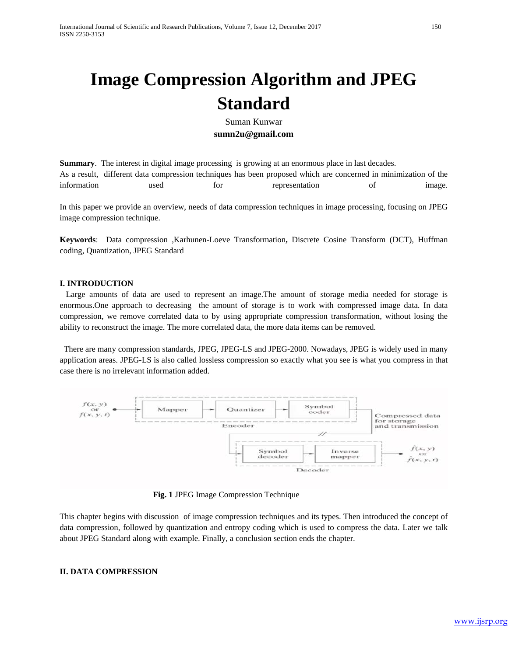# **Image Compression Algorithm and JPEG Standard**

Suman Kunwar **sumn2u@gmail.com**

**Summary**. The interest in digital image processing is growing at an enormous place in last decades. As a result, different data compression techniques has been proposed which are concerned in minimization of the information used for representation of image.

In this paper we provide an overview, needs of data compression techniques in image processing, focusing on JPEG image compression technique.

**Keywords**: Data compression ,Karhunen-Loeve Transformation**,** Discrete Cosine Transform (DCT), Huffman coding, Quantization, JPEG Standard

#### **I. INTRODUCTION**

 Large amounts of data are used to represent an image.The amount of storage media needed for storage is enormous.One approach to decreasing the amount of storage is to work with compressed image data. In data compression, we remove correlated data to by using appropriate compression transformation, without losing the ability to reconstruct the image. The more correlated data, the more data items can be removed.

 There are many compression standards, JPEG, JPEG-LS and JPEG-2000. Nowadays, JPEG is widely used in many application areas. JPEG-LS is also called lossless compression so exactly what you see is what you compress in that case there is no irrelevant information added.



**Fig. 1** JPEG Image Compression Technique

This chapter begins with discussion of image compression techniques and its types. Then introduced the concept of data compression, followed by quantization and entropy coding which is used to compress the data. Later we talk about JPEG Standard along with example. Finally, a conclusion section ends the chapter.

## **II. DATA COMPRESSION**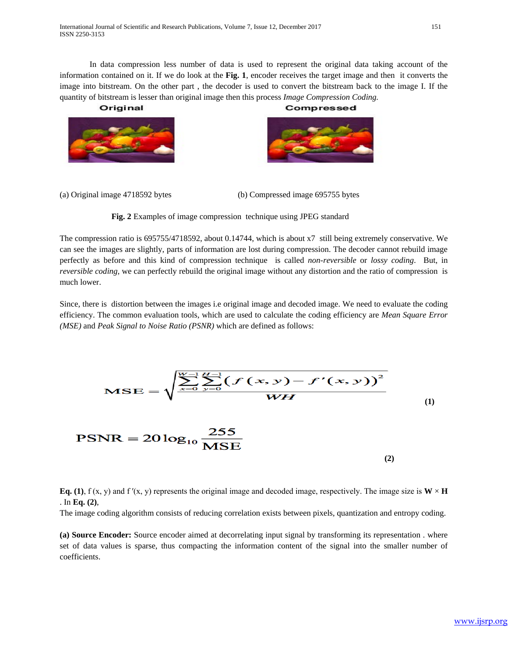In data compression less number of data is used to represent the original data taking account of the information contained on it. If we do look at the **Fig. 1**, encoder receives the target image and then it converts the image into bitstream. On the other part , the decoder is used to convert the bitstream back to the image I. If the quantity of bitstream is lesser than original image then this process *Image Compression Coding.*

Original



(a) Original image 4718592 bytes (b) Compressed image 695755 bytes

**Fig. 2** Examples of image compression technique using JPEG standard

The compression ratio is 695755/4718592, about 0.14744, which is about x7 still being extremely conservative. We can see the images are slightly, parts of information are lost during compression. The decoder cannot rebuild image perfectly as before and this kind of compression technique is called *non-reversible* or *lossy coding*. But, in *reversible coding,* we can perfectly rebuild the original image without any distortion and the ratio of compression is much lower.

Since, there is distortion between the images i.e original image and decoded image. We need to evaluate the coding efficiency. The common evaluation tools, which are used to calculate the coding efficiency are *Mean Square Error (MSE)* and *Peak Signal to Noise Ratio (PSNR)* which are defined as follows:



**Eq. (1)**, f (x, y) and f '(x, y) represents the original image and decoded image, respectively. The image size is  $W \times H$ . In **Eq. (2)**,

The image coding algorithm consists of reducing correlation exists between pixels, quantization and entropy coding.

**(a) Source Encoder:** Source encoder aimed at decorrelating input signal by transforming its representation . where set of data values is sparse, thus compacting the information content of the signal into the smaller number of coefficients.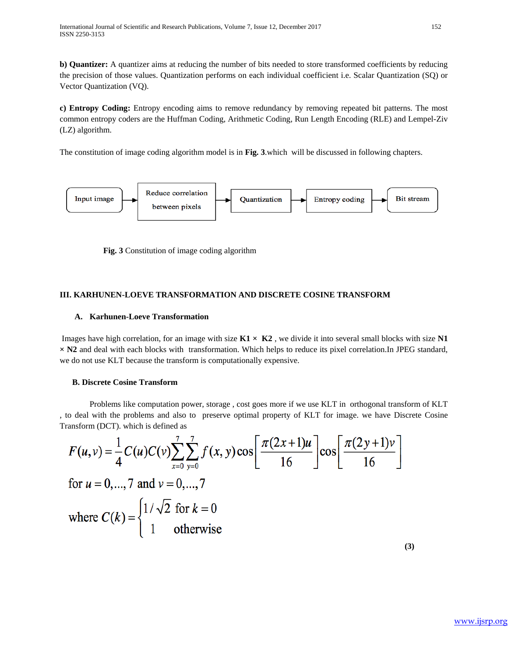**b) Quantizer:** A quantizer aims at reducing the number of bits needed to store transformed coefficients by reducing the precision of those values. Quantization performs on each individual coefficient i.e. Scalar Quantization (SQ) or Vector Quantization (VQ).

**c) Entropy Coding:** Entropy encoding aims to remove redundancy by removing repeated bit patterns. The most common entropy coders are the Huffman Coding, Arithmetic Coding, Run Length Encoding (RLE) and Lempel-Ziv (LZ) algorithm.

The constitution of image coding algorithm model is in **Fig. 3**.which will be discussed in following chapters.



 **Fig. 3** Constitution of image coding algorithm

# **III. KARHUNEN-LOEVE TRANSFORMATION AND DISCRETE COSINE TRANSFORM**

## **A. Karhunen-Loeve Transformation**

Images have high correlation, for an image with size  $K1 \times K2$ , we divide it into several small blocks with size N1 **× N2** and deal with each blocks with transformation. Which helps to reduce its pixel correlation.In JPEG standard, we do not use KLT because the transform is computationally expensive.

## **B. Discrete Cosine Transform**

 Problems like computation power, storage , cost goes more if we use KLT in orthogonal transform of KLT , to deal with the problems and also to preserve optimal property of KLT for image. we have Discrete Cosine Transform (DCT). which is defined as

$$
F(u, v) = \frac{1}{4}C(u)C(v)\sum_{x=0}^{7} \sum_{y=0}^{7} f(x, y)\cos\left[\frac{\pi(2x+1)u}{16}\right]\cos\left[\frac{\pi(2y+1)v}{16}\right]
$$
  
for  $u = 0, ..., 7$  and  $v = 0, ..., 7$   
where  $C(k) = \begin{cases} 1/\sqrt{2} \text{ for } k = 0\\ 1 \text{ otherwise} \end{cases}$ 

**(3)**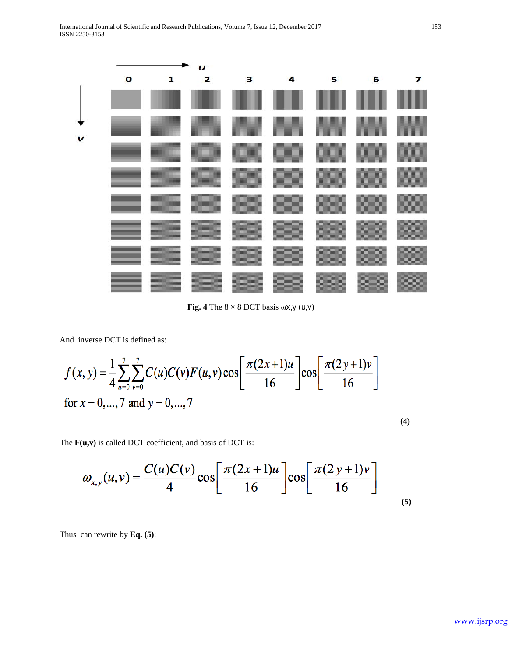

**Fig. 4** The  $8 \times 8$  DCT basis  $\omega$ x,y (u,v)

And inverse DCT is defined as:

$$
f(x, y) = \frac{1}{4} \sum_{u=0}^{7} \sum_{v=0}^{7} C(u)C(v)F(u, v) \cos \left[\frac{\pi (2x+1)u}{16}\right] \cos \left[\frac{\pi (2y+1)v}{16}\right]
$$
  
for  $x = 0, ..., 7$  and  $y = 0, ..., 7$ 

The **F(u,v)** is called DCT coefficient, and basis of DCT is:

$$
\omega_{x,y}(u,v) = \frac{C(u)C(v)}{4}\cos\left[\frac{\pi(2x+1)u}{16}\right]\cos\left[\frac{\pi(2y+1)v}{16}\right]
$$
\n(5)

Thus can rewrite by **Eq. (5)**:

**(4)**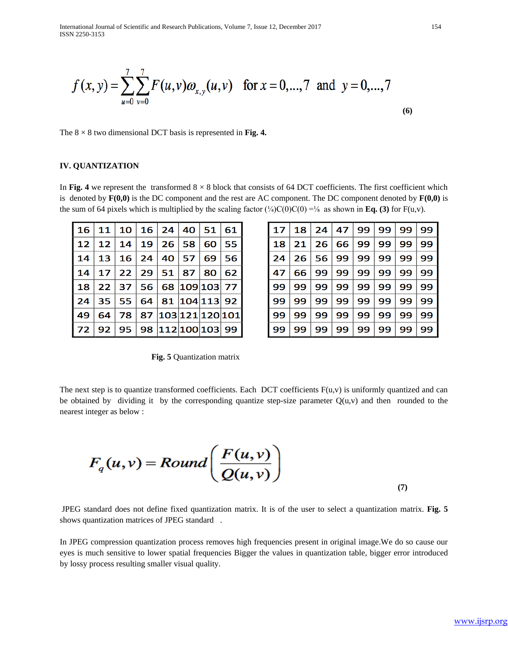International Journal of Scientific and Research Publications, Volume 7, Issue 12, December 2017 154 ISSN 2250-3153

$$
f(x, y) = \sum_{u=0}^{7} \sum_{v=0}^{7} F(u,v) \omega_{x,y}(u,v) \text{ for } x = 0,...,7 \text{ and } y = 0,...,7
$$
 (6)

The  $8 \times 8$  two dimensional DCT basis is represented in **Fig. 4.** 

#### **IV. QUANTIZATION**

In Fig. 4 we represent the transformed  $8 \times 8$  block that consists of 64 DCT coefficients. The first coefficient which is denoted by  $\mathbf{F(0,0)}$  is the DC component and the rest are AC component. The DC component denoted by  $\mathbf{F(0,0)}$  is the sum of 64 pixels which is multiplied by the scaling factor  $\frac{1}{4}C(0)C(0) = \frac{1}{6}$  as shown in **Eq. (3)** for F(u,v).

|  |  | 16   11   10   16   24   40   51   61 |  |  |
|--|--|---------------------------------------|--|--|
|  |  | 12   12   14   19   26   58   60   55 |  |  |
|  |  | 14   13   16   24   40   57   69   56 |  |  |
|  |  | 14   17   22   29   51   87   80   62 |  |  |
|  |  | 18   22   37   56   68  109 103  77   |  |  |
|  |  | 24   35   55   64   81  104 113  92   |  |  |
|  |  | 49   64   78   87  103 121 120 101    |  |  |
|  |  | 72   92   95   98  112 100 103  99    |  |  |

| 17   |    | 18   24   47   99   99   99   99 |              |              |                        |         |    |
|------|----|----------------------------------|--------------|--------------|------------------------|---------|----|
| 18   | 21 |                                  | 26   66   99 |              | 99                     | 99      | 99 |
| l 24 |    | 26   56   99   99   99   99      |              |              |                        |         | 99 |
| l 47 | 66 | 99   99   99   99   99           |              |              |                        |         | 99 |
| l 99 | 99 |                                  |              | 99   99   99 |                        | 99   99 | 99 |
| l 99 | 99 |                                  |              |              | 99   99   99   99   99 |         | 99 |
| l 99 | 99 | 99                               | 99           | 99           | 99                     | 99      | 99 |
| 99   | 99 | 99                               | 99           | 99           | 99                     | 99      | 99 |

**(7)**

**Fig. 5** Quantization matrix

The next step is to quantize transformed coefficients. Each DCT coefficients  $F(u,v)$  is uniformly quantized and can be obtained by dividing it by the corresponding quantize step-size parameter  $Q(u, v)$  and then rounded to the nearest integer as below :

$$
F_q(u,v) = Round\left(\frac{F(u,v)}{Q(u,v)}\right)
$$

JPEG standard does not define fixed quantization matrix. It is of the user to select a quantization matrix. **Fig. 5**  shows quantization matrices of JPEG standard .

In JPEG compression quantization process removes high frequencies present in original image.We do so cause our eyes is much sensitive to lower spatial frequencies Bigger the values in quantization table, bigger error introduced by lossy process resulting smaller visual quality.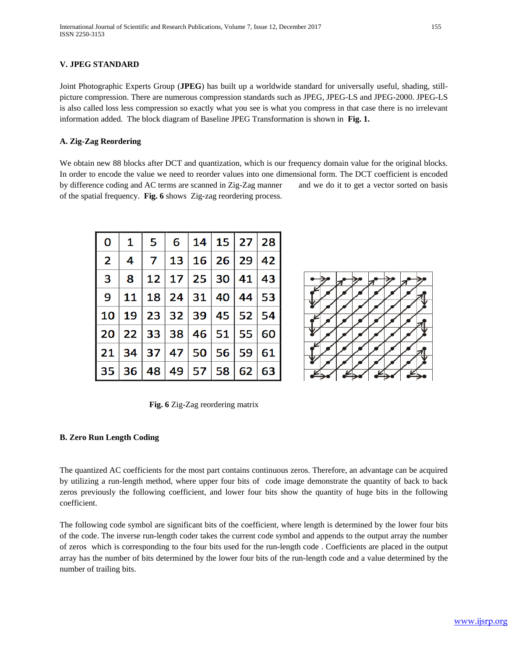# **V. JPEG STANDARD**

Joint Photographic Experts Group (**JPEG**) has built up a worldwide standard for universally useful, shading, stillpicture compression. There are numerous compression standards such as JPEG, JPEG-LS and JPEG-2000. JPEG-LS is also called loss less compression so exactly what you see is what you compress in that case there is no irrelevant information added. The block diagram of Baseline JPEG Transformation is shown in **Fig. 1.**

# **A. Zig-Zag Reordering**

We obtain new 88 blocks after DCT and quantization, which is our frequency domain value for the original blocks. In order to encode the value we need to reorder values into one dimensional form. The DCT coefficient is encoded by difference coding and AC terms are scanned in Zig-Zag manner and we do it to get a vector sorted on basis of the spatial frequency. **Fig. 6** showsZig-zag reordering process.

| $\mathbf 0$ |  |  | $\mid 1 \mid 5 \mid 6 \mid 14 \mid 15 \mid 27 \mid 28 \mid$                             |  |
|-------------|--|--|-----------------------------------------------------------------------------------------|--|
|             |  |  | $2 \mid 4 \mid 7 \mid 13 \mid 16 \mid 26 \mid 29 \mid 42 \mid$                          |  |
|             |  |  | $3 \mid 8 \mid 12 \mid 17 \mid 25 \mid 30 \mid 41 \mid 43 \mid$                         |  |
|             |  |  | 9   11   18   24   31   40   44   53                                                    |  |
|             |  |  | 10 19 23 32 39 45 52 54                                                                 |  |
|             |  |  | $\vert$ 20 $\vert$ 22 $\vert$ 33 $\vert$ 38 $\vert$ 46 $\vert$ 51 $\vert$ 55 $\vert$ 60 |  |
|             |  |  | $\mid$ 21 $\mid$ 34 $\mid$ 37 $\mid$ 47 $\mid$ 50 $\mid$ 56 $\mid$ 59 $\mid$ 61 $\mid$  |  |
|             |  |  | 35 36 48 49 57 58 62 63                                                                 |  |



**Fig. 6** Zig-Zag reordering matrix

## **B. Zero Run Length Coding**

The quantized AC coefficients for the most part contains continuous zeros. Therefore, an advantage can be acquired by utilizing a run-length method, where upper four bits of code image demonstrate the quantity of back to back zeros previously the following coefficient, and lower four bits show the quantity of huge bits in the following coefficient.

The following code symbol are significant bits of the coefficient, where length is determined by the lower four bits of the code. The inverse run-length coder takes the current code symbol and appends to the output array the number of zeros which is corresponding to the four bits used for the run-length code . Coefficients are placed in the output array has the number of bits determined by the lower four bits of the run-length code and a value determined by the number of trailing bits.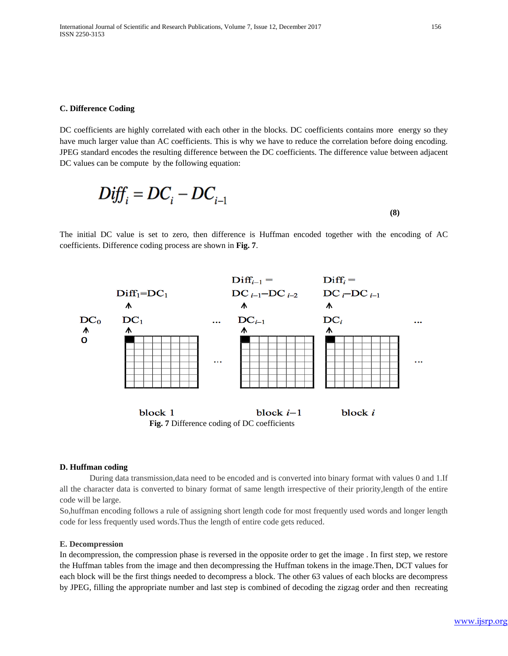#### **C. Difference Coding**

DC coefficients are highly correlated with each other in the blocks. DC coefficients contains more energy so they have much larger value than AC coefficients. This is why we have to reduce the correlation before doing encoding. JPEG standard encodes the resulting difference between the DC coefficients. The difference value between adjacent DC values can be compute by the following equation:

$$
Diff_i = DC_i - DC_{i-1}
$$
 (8)

The initial DC value is set to zero, then difference is Huffman encoded together with the encoding of AC coefficients. Difference coding process are shown in **Fig. 7**.



#### **D. Huffman coding**

During data transmission,data need to be encoded and is converted into binary format with values 0 and 1.If all the character data is converted to binary format of same length irrespective of their priority,length of the entire code will be large.

So,huffman encoding follows a rule of assigning short length code for most frequently used words and longer length code for less frequently used words.Thus the length of entire code gets reduced.

#### **E. Decompression**

In decompression, the compression phase is reversed in the opposite order to get the image . In first step, we restore the Huffman tables from the image and then decompressing the Huffman tokens in the image.Then, DCT values for each block will be the first things needed to decompress a block. The other 63 values of each blocks are decompress by JPEG, filling the appropriate number and last step is combined of decoding the zigzag order and then recreating